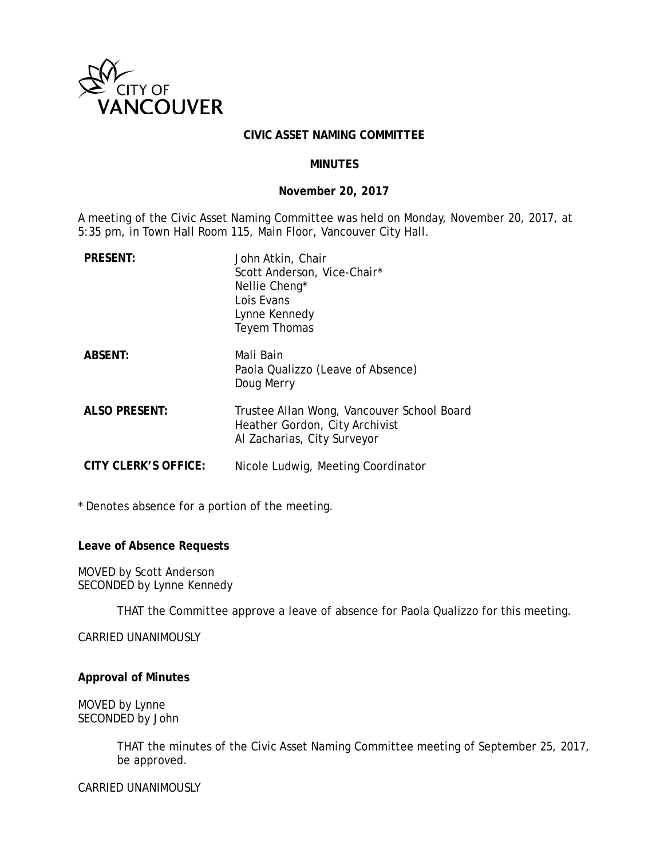

### **CIVIC ASSET NAMING COMMITTEE**

### **MINUTES**

### **November 20, 2017**

A meeting of the Civic Asset Naming Committee was held on Monday, November 20, 2017, at 5:35 pm, in Town Hall Room 115, Main Floor, Vancouver City Hall.

| <b>PRESENT:</b>      | John Atkin, Chair<br>Scott Anderson, Vice-Chair*<br>Nellie Cheng <sup>*</sup><br>Lois Evans<br>Lynne Kennedy<br>Teyem Thomas |
|----------------------|------------------------------------------------------------------------------------------------------------------------------|
| <b>ABSENT:</b>       | Mali Bain<br>Paola Qualizzo (Leave of Absence)<br>Doug Merry                                                                 |
| <b>ALSO PRESENT:</b> | Trustee Allan Wong, Vancouver School Board<br>Heather Gordon, City Archivist<br>Al Zacharias, City Surveyor                  |
| CITY CLERK'S OFFICE: | Nicole Ludwig, Meeting Coordinator                                                                                           |

\* Denotes absence for a portion of the meeting.

#### **Leave of Absence Requests**

MOVED by Scott Anderson SECONDED by Lynne Kennedy

THAT the Committee approve a leave of absence for Paola Qualizzo for this meeting.

CARRIED UNANIMOUSLY

#### **Approval of Minutes**

MOVED by Lynne SECONDED by John

> THAT the minutes of the Civic Asset Naming Committee meeting of September 25, 2017, be approved.

CARRIED UNANIMOUSLY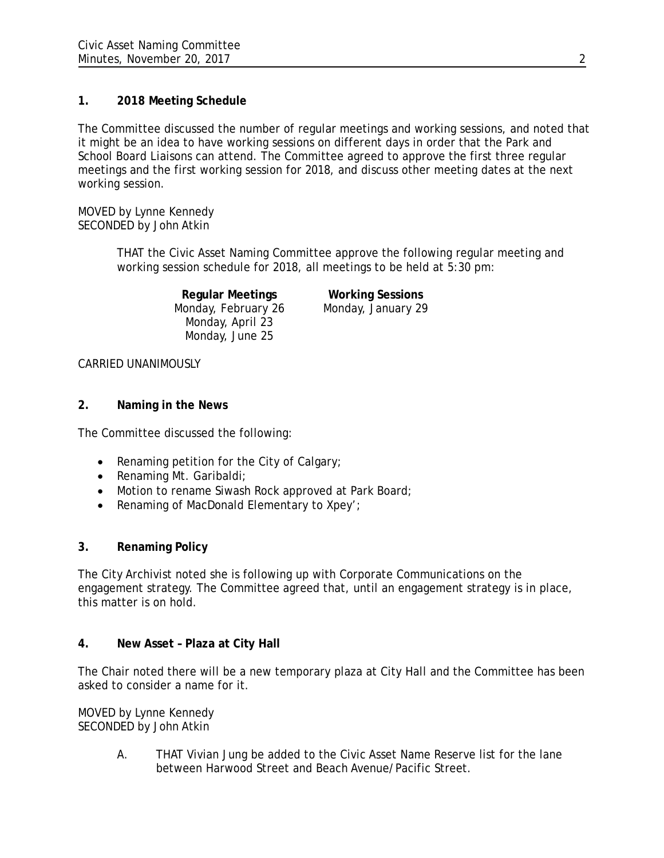# **1. 2018 Meeting Schedule**

The Committee discussed the number of regular meetings and working sessions, and noted that it might be an idea to have working sessions on different days in order that the Park and School Board Liaisons can attend. The Committee agreed to approve the first three regular meetings and the first working session for 2018, and discuss other meeting dates at the next working session.

MOVED by Lynne Kennedy SECONDED by John Atkin

> THAT the Civic Asset Naming Committee approve the following regular meeting and working session schedule for 2018, all meetings to be held at 5:30 pm:

> > **Regular Meetings Working Sessions** Monday, February 26 Monday, January 29 Monday, April 23 Monday, June 25

# CARRIED UNANIMOUSLY

# **2. Naming in the News**

The Committee discussed the following:

- Renaming petition for the City of Calgary;
- Renaming Mt. Garibaldi;
- Motion to rename Siwash Rock approved at Park Board;
- Renaming of MacDonald Elementary to Xpey';

# **3. Renaming Policy**

The City Archivist noted she is following up with Corporate Communications on the engagement strategy. The Committee agreed that, until an engagement strategy is in place, this matter is on hold.

# **4. New Asset – Plaza at City Hall**

The Chair noted there will be a new temporary plaza at City Hall and the Committee has been asked to consider a name for it.

MOVED by Lynne Kennedy SECONDED by John Atkin

> A. THAT Vivian Jung be added to the Civic Asset Name Reserve list for the lane between Harwood Street and Beach Avenue/Pacific Street.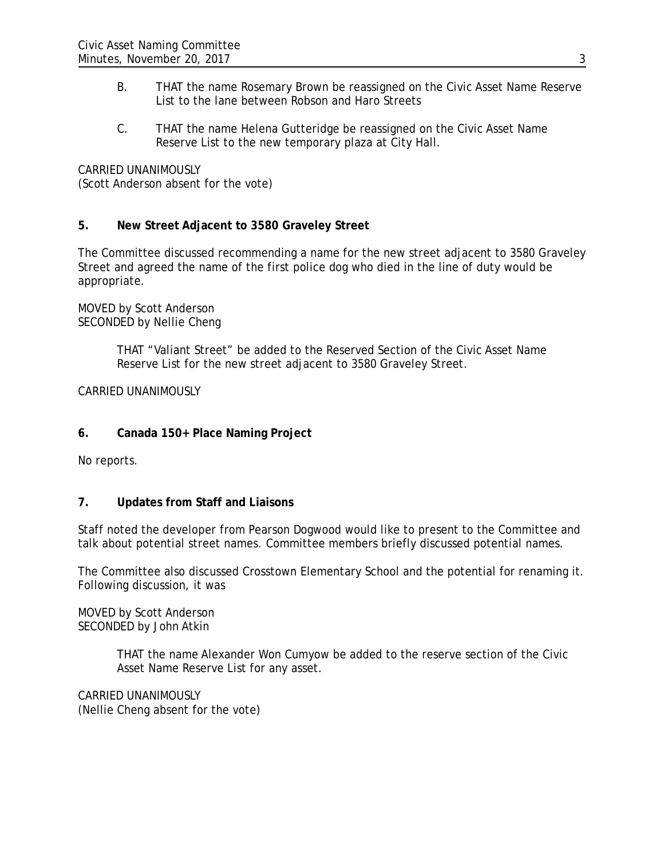- B. THAT the name Rosemary Brown be reassigned on the Civic Asset Name Reserve List to the lane between Robson and Haro Streets
- C. THAT the name Helena Gutteridge be reassigned on the Civic Asset Name Reserve List to the new temporary plaza at City Hall.

CARRIED UNANIMOUSLY

(Scott Anderson absent for the vote)

## **5. New Street Adjacent to 3580 Graveley Street**

The Committee discussed recommending a name for the new street adjacent to 3580 Graveley Street and agreed the name of the first police dog who died in the line of duty would be appropriate.

MOVED by Scott Anderson SECONDED by Nellie Cheng

> THAT "Valiant Street" be added to the Reserved Section of the Civic Asset Name Reserve List for the new street adjacent to 3580 Graveley Street.

CARRIED UNANIMOUSLY

**6. Canada 150+ Place Naming Project**

No reports.

## **7. Updates from Staff and Liaisons**

Staff noted the developer from Pearson Dogwood would like to present to the Committee and talk about potential street names. Committee members briefly discussed potential names.

The Committee also discussed Crosstown Elementary School and the potential for renaming it. Following discussion, it was

MOVED by Scott Anderson SECONDED by John Atkin

> THAT the name Alexander Won Cumyow be added to the reserve section of the Civic Asset Name Reserve List for any asset.

CARRIED UNANIMOUSLY (Nellie Cheng absent for the vote)